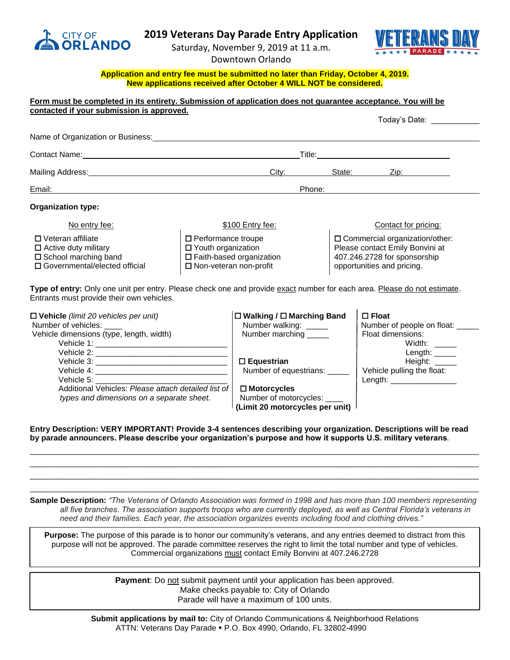

## **2019 Veterans Day Parade Entry Application**

Saturday, November 9, 2019 at 11 a.m.



Downtown Orlando

## **Application and entry fee must be submitted no later than Friday, October 4, 2019. New applications received after October 4 WILL NOT be considered.**

|                                                                                                                          |                                                                                                                                                               |                                                                                                                                   | Today's Date: _______                                                                                                                                                                                                                                                                                                                                                                                                                                                                      |
|--------------------------------------------------------------------------------------------------------------------------|---------------------------------------------------------------------------------------------------------------------------------------------------------------|-----------------------------------------------------------------------------------------------------------------------------------|--------------------------------------------------------------------------------------------------------------------------------------------------------------------------------------------------------------------------------------------------------------------------------------------------------------------------------------------------------------------------------------------------------------------------------------------------------------------------------------------|
|                                                                                                                          |                                                                                                                                                               |                                                                                                                                   |                                                                                                                                                                                                                                                                                                                                                                                                                                                                                            |
|                                                                                                                          |                                                                                                                                                               |                                                                                                                                   |                                                                                                                                                                                                                                                                                                                                                                                                                                                                                            |
|                                                                                                                          |                                                                                                                                                               |                                                                                                                                   |                                                                                                                                                                                                                                                                                                                                                                                                                                                                                            |
| Phone:                                                                                                                   |                                                                                                                                                               |                                                                                                                                   |                                                                                                                                                                                                                                                                                                                                                                                                                                                                                            |
|                                                                                                                          |                                                                                                                                                               |                                                                                                                                   |                                                                                                                                                                                                                                                                                                                                                                                                                                                                                            |
| \$100 Entry fee:                                                                                                         |                                                                                                                                                               | Contact for pricing:                                                                                                              |                                                                                                                                                                                                                                                                                                                                                                                                                                                                                            |
| $\Box$ Performance troupe<br>$\Box$ Youth organization<br>□ Faith-based organization<br>$\square$ Non-veteran non-profit |                                                                                                                                                               | □ Commercial organization/other:<br>Please contact Emily Bonvini at<br>407.246.2728 for sponsorship<br>opportunities and pricing. |                                                                                                                                                                                                                                                                                                                                                                                                                                                                                            |
|                                                                                                                          |                                                                                                                                                               |                                                                                                                                   |                                                                                                                                                                                                                                                                                                                                                                                                                                                                                            |
|                                                                                                                          | □ Walking / □ Marching Band<br>Number walking: _____<br>Number marching _____<br>$\square$ Equestrian<br>Number of equestrians: _____                         |                                                                                                                                   | $\Box$ Float<br>Number of people on float: _____<br>Float dimensions:<br>Width: $\_\_$<br>Length: $\_\_$<br>Height: $\_\_$<br>Vehicle pulling the float:<br>Length: $\sqrt{2}$                                                                                                                                                                                                                                                                                                             |
|                                                                                                                          | contacted if your submission is approved.<br><u> 1989 - Johann John Stone, mensk politik (f. 1989)</u><br>Additional Vehicles: Please attach detailed list of | City:<br>$\square$ Motorcycles                                                                                                    | Form must be completed in its entirety. Submission of application does not guarantee acceptance. You will be<br>Name of Organization or Business: Name of the Contract of the Contract of the Contract of the Contract of the Contract of the Contract of the Contract of the Contract of the Contract of the Contract of the Contract of the<br>State: State:<br>Type of entry: Only one unit per entry. Please check one and provide exact number for each area. Please do not estimate. |

*types and dimensions on a separate sheet.* Number of motorcycles: \_\_\_\_

**(Limit 20 motorcycles per unit)**

## **Entry Description: VERY IMPORTANT! Provide 3-4 sentences describing your organization. Descriptions will be read by parade announcers. Please describe your organization's purpose and how it supports U.S. military veterans***.*

\_\_\_\_\_\_\_\_\_\_\_\_\_\_\_\_\_\_\_\_\_\_\_\_\_\_\_\_\_\_\_\_\_\_\_\_\_\_\_\_\_\_\_\_\_\_\_\_\_\_\_\_\_\_\_\_\_\_\_\_\_\_\_\_\_\_\_\_\_\_\_\_\_\_\_\_\_\_\_\_\_\_\_\_\_\_\_\_\_\_\_\_\_\_\_\_\_\_\_\_\_\_ \_\_\_\_\_\_\_\_\_\_\_\_\_\_\_\_\_\_\_\_\_\_\_\_\_\_\_\_\_\_\_\_\_\_\_\_\_\_\_\_\_\_\_\_\_\_\_\_\_\_\_\_\_\_\_\_\_\_\_\_\_\_\_\_\_\_\_\_\_\_\_\_\_\_\_\_\_\_\_\_\_\_\_\_\_\_\_\_\_\_\_\_\_\_\_\_\_\_\_\_\_\_ \_\_\_\_\_\_\_\_\_\_\_\_\_\_\_\_\_\_\_\_\_\_\_\_\_\_\_\_\_\_\_\_\_\_\_\_\_\_\_\_\_\_\_\_\_\_\_\_\_\_\_\_\_\_\_\_\_\_\_\_\_\_\_\_\_\_\_\_\_\_\_\_\_\_\_\_\_\_\_\_\_\_\_\_\_\_\_\_\_\_\_\_\_\_\_\_\_\_\_\_\_\_ \_\_\_\_\_\_\_\_\_\_\_\_\_\_\_\_\_\_\_\_\_\_\_\_\_\_\_\_\_\_\_\_\_\_\_\_\_\_\_\_\_\_\_\_\_\_\_\_\_\_\_\_\_\_\_\_\_\_\_\_\_\_\_\_\_\_\_\_\_\_\_\_\_\_\_\_\_\_\_\_\_\_\_\_\_\_\_\_\_\_\_\_\_\_\_\_\_\_\_\_\_\_

**Sample Description:** *"The Veterans of Orlando Association was formed in 1998 and has more than 100 members representing all five branches. The association supports troops who are currently deployed, as well as Central Florida's veterans in need and their families. Each year, the association organizes events including food and clothing drives."*

**Purpose:** The purpose of this parade is to honor our community's veterans, and any entries deemed to distract from this purpose will not be approved. The parade committee reserves the right to limit the total number and type of vehicles. Commercial organizations must contact Emily Bonvini at 407.246.2728

> **Payment**: Do not submit payment until your application has been approved. Make checks payable to: City of Orlando Parade will have a maximum of 100 units.